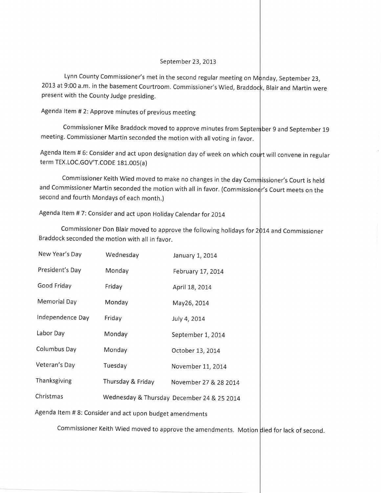## September 23, 2013

Lynn County Commissioner's met in the second regular meeting on M $\phi$ nday, September 23, 2013 at 9:00 a.m. in the basement Courtroom. Commissioner's Wied, Braddoc<mark>k, Blair and Martin were</mark> present with the County Judge presiding.

Agenda ltem # 2: Approve minutes of previous meeting

Commissioner Mike Braddock moved to approve minutes from September 9 and September 19 meeting. Commissioner Martin seconded the motion with all voting in favor.

Agenda Item # 6: Consider and act upon designation day of week on which court will convene in regular term TEX.LOC.GOV'T.CODE 181.005(a )

and Commissioner Martin seconded the motion with all in favor. (Commissioner's Court meets on the second and fourth Mondays of each month.) Commissioner Keith Wied moved to make no changes in the day Commissioner's Court is held

Agenda Item #7: Consider and act upon Holiday Calendar for 2014

Commissioner Don Blair moved to approve the following holidays for 2 $\mathfrak{p}$ 14 and Commissioner Braddock seconded the motion with all in favor.

| New Year's Day      | Wednesday         | January 1, 2014                            |
|---------------------|-------------------|--------------------------------------------|
| President's Day     | Monday            | February 17, 2014                          |
| Good Friday         | Friday            | April 18, 2014                             |
| <b>Memorial Day</b> | Monday            | May26, 2014                                |
| Independence Day    | Friday            | July 4, 2014                               |
| Labor Day           | Monday            | September 1, 2014                          |
| Columbus Day        | Monday            | October 13, 2014                           |
| Veteran's Day       | Tuesday           | November 11, 2014                          |
| Thanksgiving        | Thursday & Friday | November 27 & 28 2014                      |
| Christmas           |                   | Wednesday & Thursday December 24 & 25 2014 |

Agenda ltem # 8: Consider and act upon budget amendments

Commissioner Keith Wied moved to approve the amendments. Motion died for lack of second.